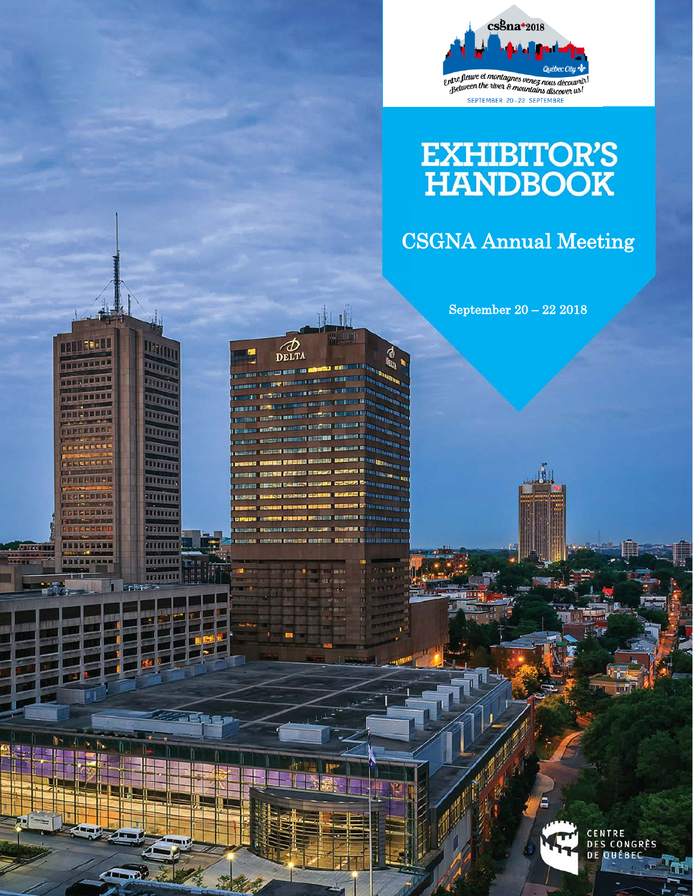

# EXHIBITOR'S<br>HANDBOOK

# CSGNA Annual Meeting

September 20 – 22 2018

**INTERNATIONAL** 

**THEFT IT'S** 

**TERRITE** 

**DELLEVER** 

**TERRETARE** 

**WEERSSE** 

**CONFER** 

TELESURE

**BECLEBERS** 

**INFECEDER** 

.........

 $\pi$ iran

 $\mathbb{R}^n$ 

 $\mathbb{R}^n$ 

 $4 - 6$ 

s mai

Uttin

**The Co** 

 $\overline{\mathbb{H}}$ 

<u>Um</u>

mm.

**TTTTT TITTE** 

TITTITTI

**TITTER** 

uning

minin www

ասասե

......... TENTUTE ÷

 $\phi$ 

DELTA

Ð

O



**CENTRE<br>DES CONGRÈS**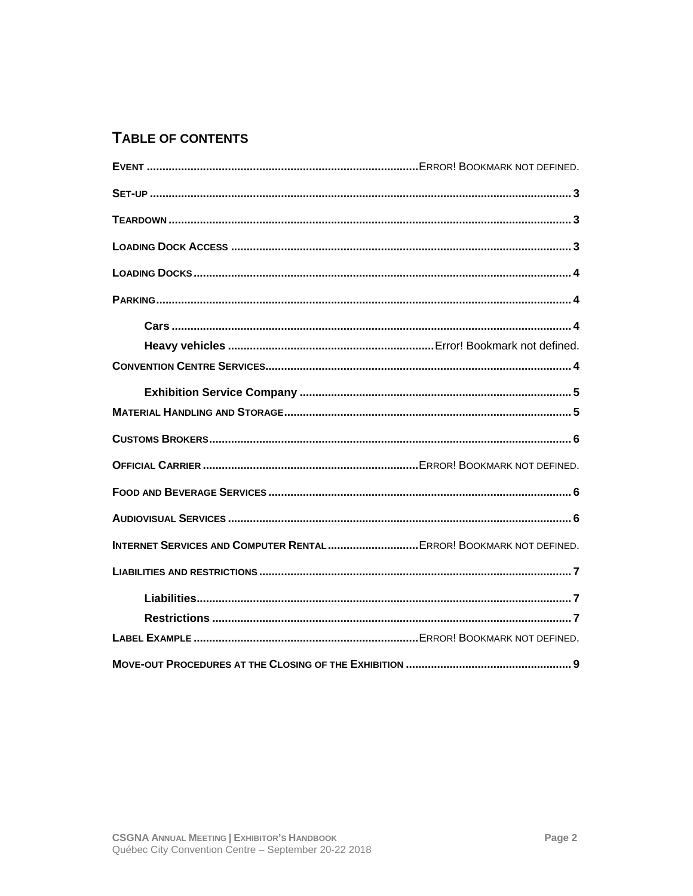# TABLE OF CONTENTS

| <b>INTERNET SERVICES AND COMPUTER RENTAL ERROR! BOOKMARK NOT DEFINED.</b> |  |
|---------------------------------------------------------------------------|--|
|                                                                           |  |
|                                                                           |  |
|                                                                           |  |
|                                                                           |  |
|                                                                           |  |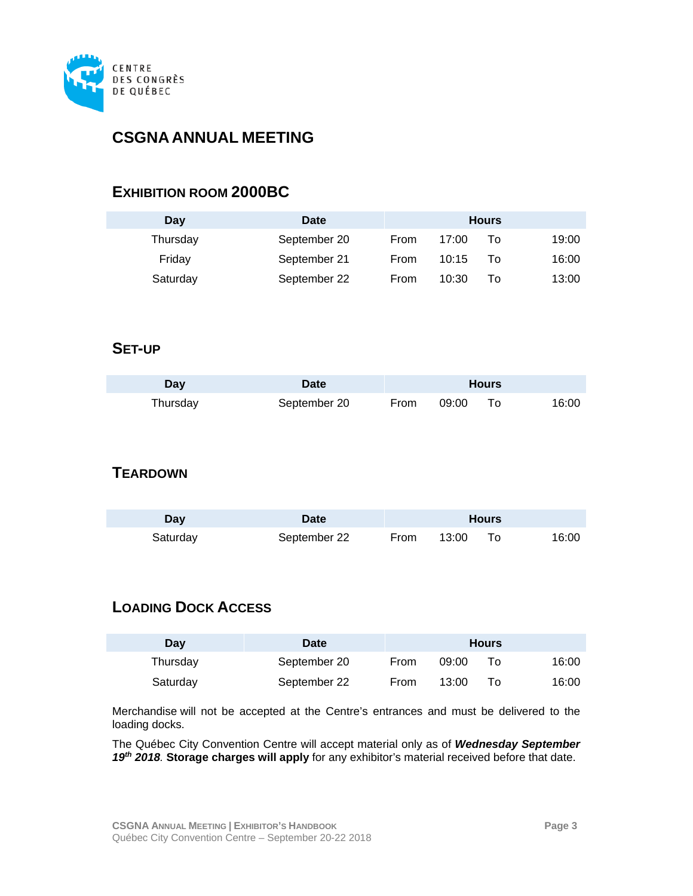

# **CSGNA ANNUAL MEETING**

#### **EXHIBITION ROOM 2000BC**

| Dav       | Date         |      |       | <b>Hours</b> |         |
|-----------|--------------|------|-------|--------------|---------|
| I hursday | September 20 | From | 17:00 |              |         |
| Fridav    | September 21 | From | 10:15 |              | ו והיאו |
| Saturday  | September 22 | From | 10:30 |              | 13700   |

## <span id="page-2-0"></span>**SET-UP**

<span id="page-2-1"></span>

| $\sim$ |              |   |   |  |
|--------|--------------|---|---|--|
|        | September 20 | . | л |  |

# **TEARDOWN**

<span id="page-2-2"></span>

| 121 |                           |     |         | Hours |     |
|-----|---------------------------|-----|---------|-------|-----|
|     | Sentemher 22<br><u>__</u> | rom | 13:00 - |       | 6'U |

# **LOADING DOCK ACCESS**

| Day      | Date         |      |       | <b>Hours</b> |     |
|----------|--------------|------|-------|--------------|-----|
| Thursdav | September 20 | From | 09:00 |              | 600 |
| Saturdav | September 22 | From | 13:00 |              |     |

Merchandise will not be accepted at the Centre's entrances and must be delivered to the loading docks.

The Québec City Convention Centre will accept material only as of *Wednesday September 19th 2018.* **Storage charges will apply** for any exhibitor's material received before that date.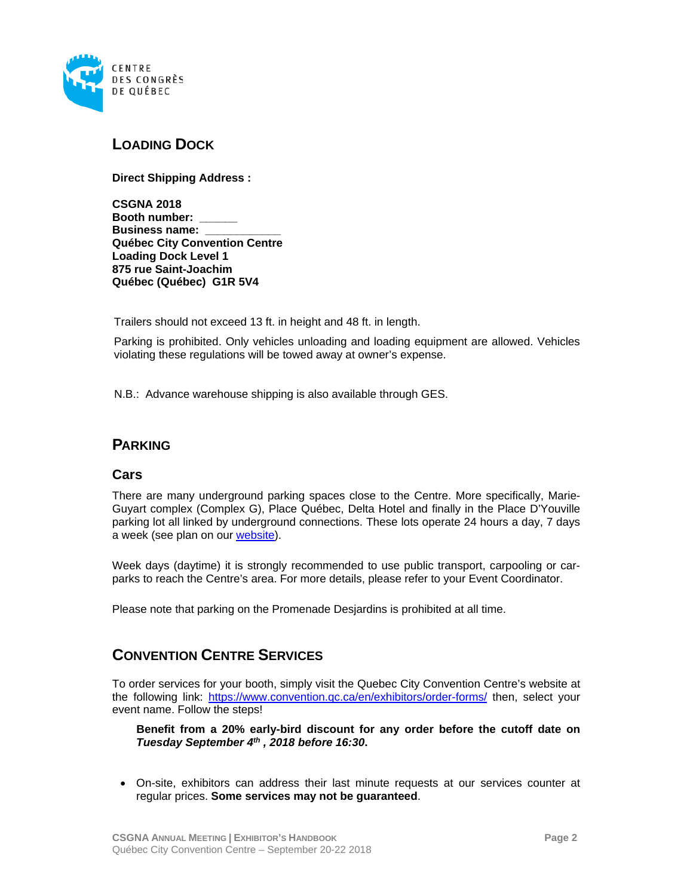

## <span id="page-3-0"></span>**LOADING DOCK**

**Direct Shipping Address :**

**CSGNA 2018 Booth number: \_\_\_\_\_\_ Business name: Québec City Convention Centre Loading Dock Level 1 875 rue Saint-Joachim Québec (Québec) G1R 5V4**

Trailers should not exceed 13 ft. in height and 48 ft. in length.

Parking is prohibited. Only vehicles unloading and loading equipment are allowed. Vehicles violating these regulations will be towed away at owner's expense.

<span id="page-3-1"></span>N.B.: Advance warehouse shipping is also available through GES.

#### **PARKING**

#### <span id="page-3-2"></span>**Cars**

There are many underground parking spaces close to the Centre. More specifically, Marie-Guyart complex (Complex G), Place Québec, Delta Hotel and finally in the Place D'Youville parking lot all linked by underground connections. These lots operate 24 hours a day, 7 days a week (see plan on our [website\)](https://www.convention.qc.ca/en/practical-information/#getting-here).

Week days (daytime) it is strongly recommended to use public transport, carpooling or carparks to reach the Centre's area. For more details, please refer to your Event Coordinator.

Please note that parking on the Promenade Desjardins is prohibited at all time.

#### <span id="page-3-3"></span>**CONVENTION CENTRE SERVICES**

To order services for your booth, simply visit the Quebec City Convention Centre's website at the following link: <https://www.convention.qc.ca/en/exhibitors/order-forms/> then, select your event name. Follow the steps!

**Benefit from a 20% early-bird discount for any order before the cutoff date on**  *Tuesday September 4th , 2018 before 16:30***.**

• On-site, exhibitors can address their last minute requests at our services counter at regular prices. **Some services may not be guaranteed**.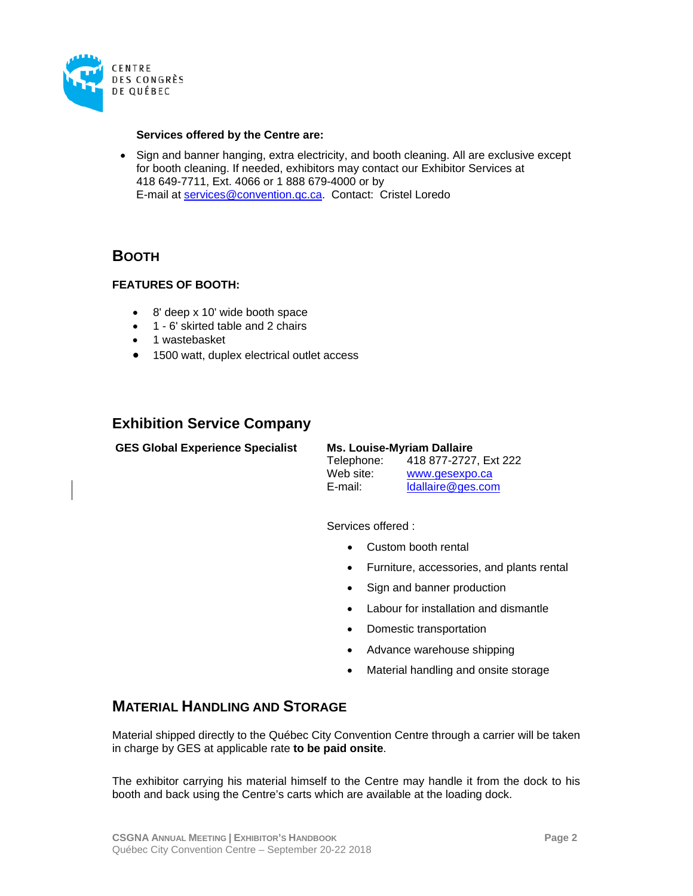

#### **Services offered by the Centre are:**

• Sign and banner hanging, extra electricity, and booth cleaning. All are exclusive except for booth cleaning. If needed, exhibitors may contact our Exhibitor Services at 418 649-7711, Ext. 4066 or 1 888 679-4000 or by E-mail at [services@convention.qc.ca.](mailto:services@convention.qc.ca) Contact: Cristel Loredo

#### **BOOTH**

#### **FEATURES OF BOOTH:**

- 8' deep x 10' wide booth space
- 1 6' skirted table and 2 chairs
- 1 wastebasket
- 1500 watt, duplex electrical outlet access

## <span id="page-4-0"></span>**Exhibition Service Company**

**GES Global Experience Specialist Ms. Louise-Myriam Dallaire**

| Telephone: | 418 877-2727. Ext 222 |
|------------|-----------------------|
| Web site:  | www.gesexpo.ca        |
| E-mail:    | Idallaire@ges.com     |

Services offered :

- Custom booth rental
- Furniture, accessories, and plants rental
- Sign and banner production
- Labour for installation and dismantle
- Domestic transportation
- Advance warehouse shipping
- Material handling and onsite storage

#### <span id="page-4-1"></span>**MATERIAL HANDLING AND STORAGE**

Material shipped directly to the Québec City Convention Centre through a carrier will be taken in charge by GES at applicable rate **to be paid onsite**.

The exhibitor carrying his material himself to the Centre may handle it from the dock to his booth and back using the Centre's carts which are available at the loading dock.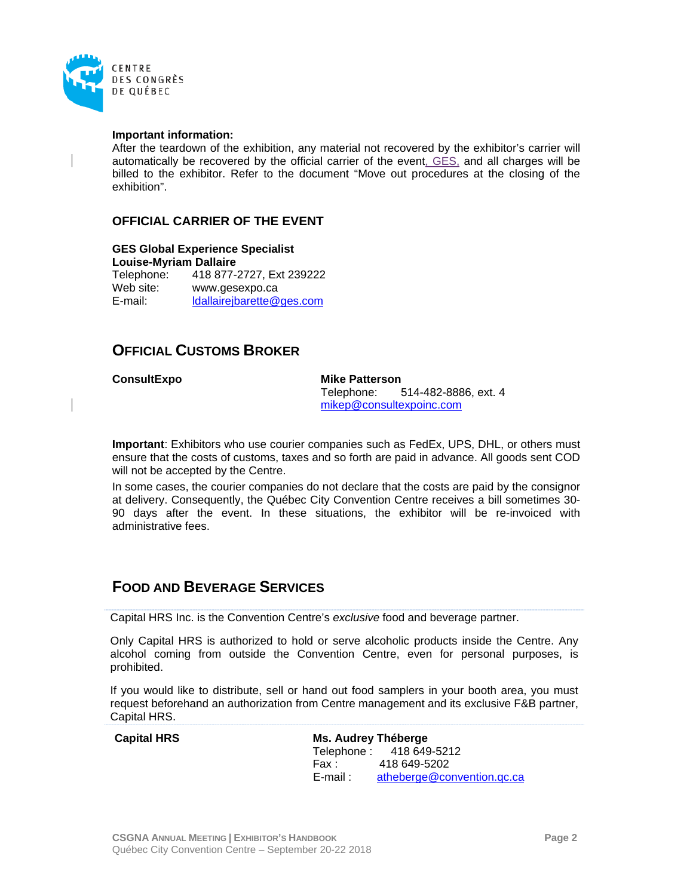

#### **Important information:**

After the teardown of the exhibition, any material not recovered by the exhibitor's carrier will automatically be recovered by the official carrier of the event, GES, and all charges will be billed to the exhibitor. Refer to the document "Move out procedures at the closing of the exhibition".

#### **OFFICIAL CARRIER OF THE EVENT**

**GES Global Experience Specialist Louise-Myriam Dallaire** Telephone: 418 877-2727, Ext 239222 Web site: www.gesexpo.ca<br>
E-mail: ldallaireibarette@ [ldallairejbarette@ges.com](mailto:ldallairejbarette@ges.com)

## <span id="page-5-0"></span>**OFFICIAL CUSTOMS BROKER**

**ConsultExpo Mike Patterson** 514-482-8886, ext. 4 [mikep@consultexpoinc.com](mailto:mikep@consultexpoinc.com)

**Important**: Exhibitors who use courier companies such as FedEx, UPS, DHL, or others must ensure that the costs of customs, taxes and so forth are paid in advance. All goods sent COD will not be accepted by the Centre.

In some cases, the courier companies do not declare that the costs are paid by the consignor at delivery. Consequently, the Québec City Convention Centre receives a bill sometimes 30- 90 days after the event. In these situations, the exhibitor will be re-invoiced with administrative fees.

#### <span id="page-5-1"></span>**FOOD AND BEVERAGE SERVICES**

Capital HRS Inc. is the Convention Centre's *exclusive* food and beverage partner.

Only Capital HRS is authorized to hold or serve alcoholic products inside the Centre. Any alcohol coming from outside the Convention Centre, even for personal purposes, is prohibited.

If you would like to distribute, sell or hand out food samplers in your booth area, you must request beforehand an authorization from Centre management and its exclusive F&B partner, Capital HRS.

<span id="page-5-2"></span>**Capital HRS Ms. Audrey Théberge** Telephone :<br>Fax : 4 Fax : 418 649-5202<br>E-mail : atheberge@co atheberge@convention.gc.ca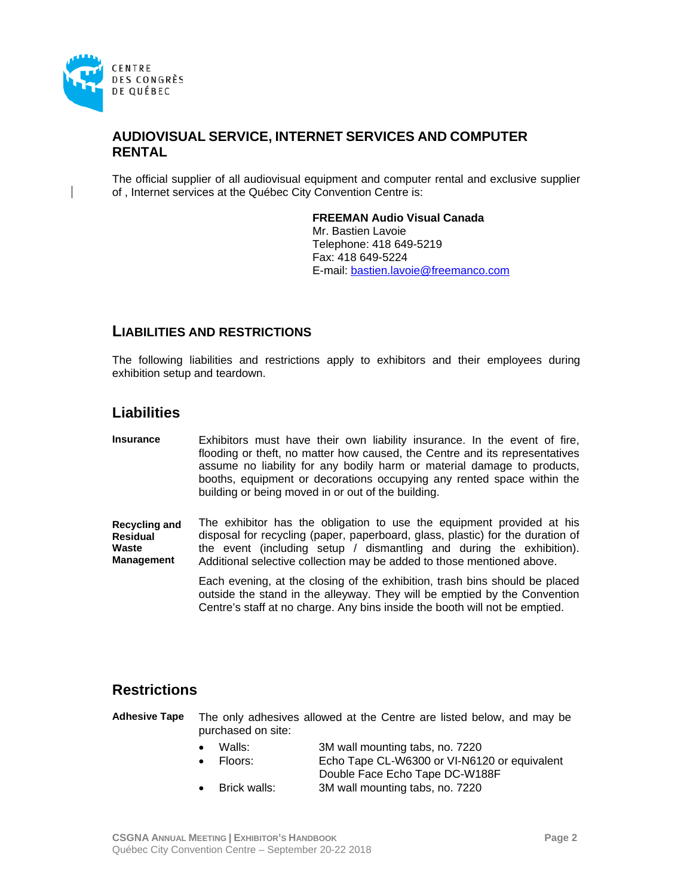

#### **AUDIOVISUAL SERVICE, INTERNET SERVICES AND COMPUTER RENTAL**

The official supplier of all audiovisual equipment and computer rental and exclusive supplier of , Internet services at the Québec City Convention Centre is:

#### **FREEMAN Audio Visual Canada**

Mr. Bastien Lavoie Telephone: 418 649-5219 Fax: 418 649-5224 E-mail: [bastien.lavoie@freemanco.com](mailto:bastien.lavoie@freemanco.com)

#### <span id="page-6-0"></span>**LIABILITIES AND RESTRICTIONS**

The following liabilities and restrictions apply to exhibitors and their employees during exhibition setup and teardown.

#### <span id="page-6-1"></span>**Liabilities**

**Insurance** Exhibitors must have their own liability insurance. In the event of fire, flooding or theft, no matter how caused, the Centre and its representatives assume no liability for any bodily harm or material damage to products, booths, equipment or decorations occupying any rented space within the building or being moved in or out of the building.

**Recycling and Residual Waste Management** The exhibitor has the obligation to use the equipment provided at his disposal for recycling (paper, paperboard, glass, plastic) for the duration of the event (including setup / dismantling and during the exhibition). Additional selective collection may be added to those mentioned above.

> Each evening, at the closing of the exhibition, trash bins should be placed outside the stand in the alleyway. They will be emptied by the Convention Centre's staff at no charge. Any bins inside the booth will not be emptied.

#### <span id="page-6-2"></span>**Restrictions**

**Adhesive Tape** The only adhesives allowed at the Centre are listed below, and may be purchased on site:

- Walls: 3M wall mounting tabs, no. 7220
- Floors: Echo Tape CL-W6300 or VI-N6120 or equivalent Double Face Echo Tape DC-W188F
- Brick walls: 3M wall mounting tabs, no. 7220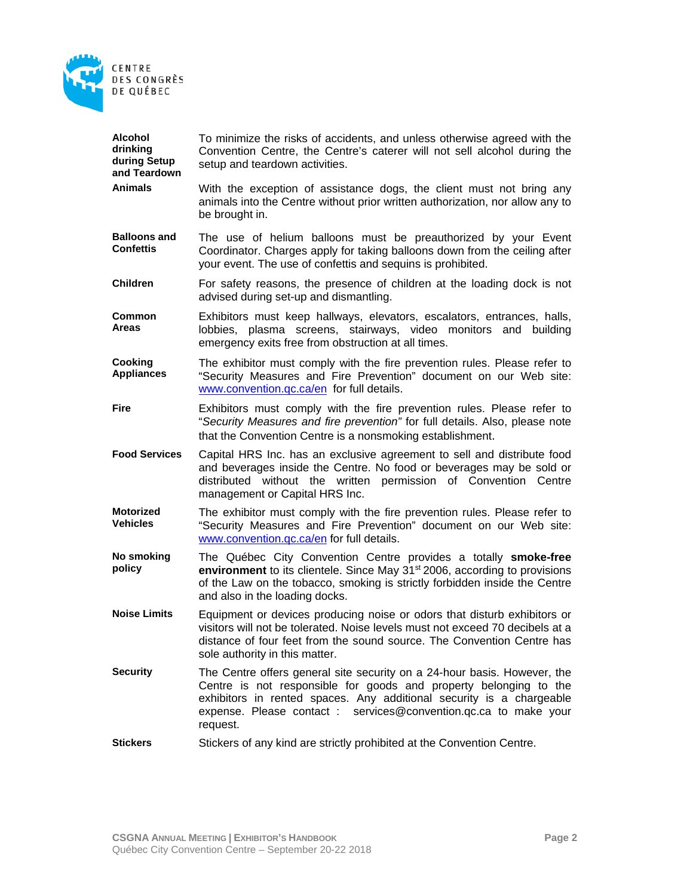

| Alcohol<br>drinking<br>during Setup<br>and Teardown | To minimize the risks of accidents, and unless otherwise agreed with the<br>Convention Centre, the Centre's caterer will not sell alcohol during the<br>setup and teardown activities.                                                                                                                |
|-----------------------------------------------------|-------------------------------------------------------------------------------------------------------------------------------------------------------------------------------------------------------------------------------------------------------------------------------------------------------|
| <b>Animals</b>                                      | With the exception of assistance dogs, the client must not bring any<br>animals into the Centre without prior written authorization, nor allow any to<br>be brought in.                                                                                                                               |
| <b>Balloons and</b><br><b>Confettis</b>             | The use of helium balloons must be preauthorized by your Event<br>Coordinator. Charges apply for taking balloons down from the ceiling after<br>your event. The use of confettis and sequins is prohibited.                                                                                           |
| <b>Children</b>                                     | For safety reasons, the presence of children at the loading dock is not<br>advised during set-up and dismantling.                                                                                                                                                                                     |
| Common<br><b>Areas</b>                              | Exhibitors must keep hallways, elevators, escalators, entrances, halls,<br>lobbies, plasma screens, stairways, video monitors and<br>building<br>emergency exits free from obstruction at all times.                                                                                                  |
| Cooking<br><b>Appliances</b>                        | The exhibitor must comply with the fire prevention rules. Please refer to<br>"Security Measures and Fire Prevention" document on our Web site:<br>www.convention.gc.ca/en for full details.                                                                                                           |
| Fire                                                | Exhibitors must comply with the fire prevention rules. Please refer to<br>"Security Measures and fire prevention" for full details. Also, please note<br>that the Convention Centre is a nonsmoking establishment.                                                                                    |
|                                                     |                                                                                                                                                                                                                                                                                                       |
| <b>Food Services</b>                                | Capital HRS Inc. has an exclusive agreement to sell and distribute food<br>and beverages inside the Centre. No food or beverages may be sold or<br>distributed without the written permission of Convention Centre<br>management or Capital HRS Inc.                                                  |
| <b>Motorized</b><br><b>Vehicles</b>                 | The exhibitor must comply with the fire prevention rules. Please refer to<br>"Security Measures and Fire Prevention" document on our Web site:<br>www.convention.gc.ca/en for full details.                                                                                                           |
| No smoking<br>policy                                | The Québec City Convention Centre provides a totally smoke-free<br>environment to its clientele. Since May 31 <sup>st</sup> 2006, according to provisions<br>of the Law on the tobacco, smoking is strictly forbidden inside the Centre<br>and also in the loading docks.                             |
| <b>Noise Limits</b>                                 | Equipment or devices producing noise or odors that disturb exhibitors or<br>visitors will not be tolerated. Noise levels must not exceed 70 decibels at a<br>distance of four feet from the sound source. The Convention Centre has<br>sole authority in this matter.                                 |
| <b>Security</b>                                     | The Centre offers general site security on a 24-hour basis. However, the<br>Centre is not responsible for goods and property belonging to the<br>exhibitors in rented spaces. Any additional security is a chargeable<br>expense. Please contact : services@convention.qc.ca to make your<br>request. |